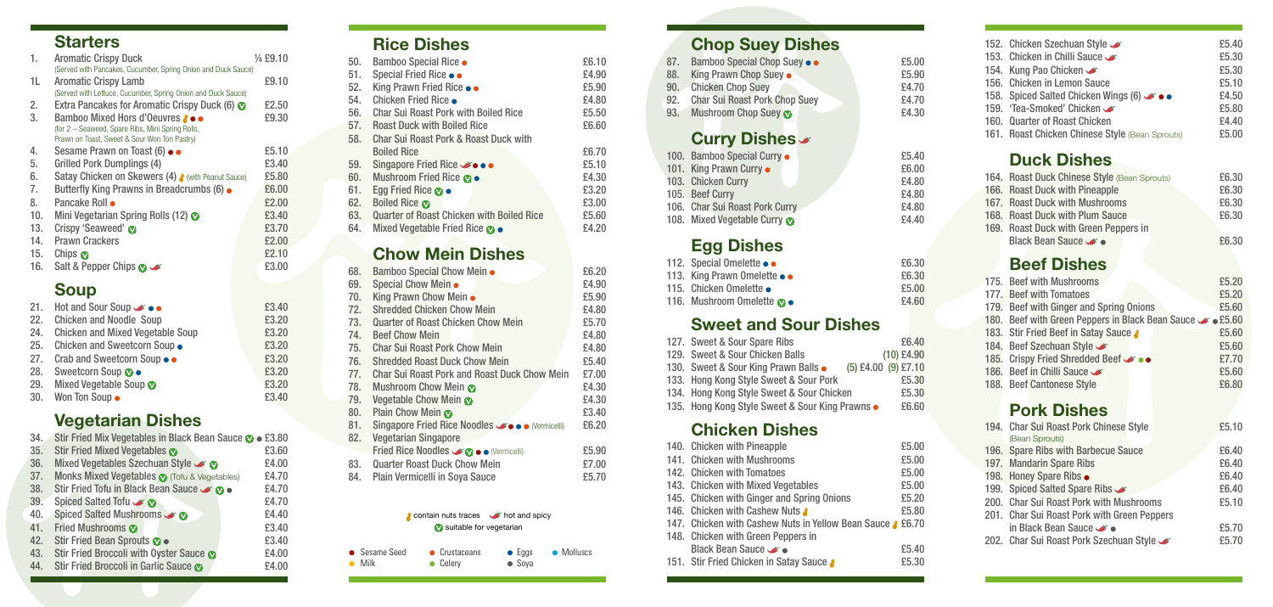## **Starters**

| 1.  | <b>Aromatic Crispy Duck</b><br>(Served with Pancakes, Cucumber, Spring Onion and Duck Sauce)     | 1/ <sub>4</sub> £9.10 |
|-----|--------------------------------------------------------------------------------------------------|-----------------------|
| 1L  | <b>Aromatic Crispy Lamb</b><br>(Served with Lettuce, Cucumber, Spring Onion and Duck Sauce)      | £9.10                 |
| 2.  | Extra Pancakes for Aromatic Crispy Duck (6) $\bullet$                                            | £2.50                 |
| 3.  | Bamboo Mixed Hors d'Oeuvres 2 • •                                                                | £9.30                 |
|     | (for 2 – Seaweed, Spare Ribs, Mini Spring Rolls,<br>Prawn on Toast, Sweet & Sour Won Ton Pastry) |                       |
| 4.  | Sesame Prawn on Toast (6) • •                                                                    | £5.10                 |
| 5.  | <b>Grilled Pork Dumplings (4)</b>                                                                | £3.40                 |
| 6.  | Satay Chicken on Skewers (4) 8 (with Peanut Sauce)                                               | £5.80                 |
| 7.  | Butterfly King Prawns in Breadcrumbs (6) •                                                       | £6.00                 |
| 8.  | Pancake Roll $\bullet$                                                                           | £2.00                 |
| 10. | Mini Vegetarian Spring Rolls (12)                                                                | £3.40                 |
| 13. | Crispy 'Seaweed' @                                                                               | £3.70                 |
| 14. | <b>Prawn Crackers</b>                                                                            | £2.00                 |
| 15. | Chips $\boldsymbol{\omega}$                                                                      | £2.10                 |
| 16. | Salt & Pepper Chips $\bullet$                                                                    | £3.00                 |

## **Soup**

|     | 21. Hot and Sour Soup $\bullet\bullet\bullet$ | £3.40 |
|-----|-----------------------------------------------|-------|
| 22. | <b>Chicken and Noodle Soup</b>                | £3.20 |
| 24. | <b>Chicken and Mixed Vegetable Soup</b>       | £3.20 |
| 25. | Chicken and Sweetcorn Soup .                  | £3.20 |
| 27. | Crab and Sweetcorn Soup ••                    | £3.20 |
| 28. | Sweetcorn Soup $\bullet$                      | £3.20 |
| 29. | Mixed Vegetable Soup                          | £3.20 |
| 30. | Won Ton Soup •                                | £3.40 |

## **Vegetarian Dishes**

| 34. | Stir Fried Mix Vegetables in Black Bean Sauce $\bullet$ • £3.80 |       |
|-----|-----------------------------------------------------------------|-------|
| 35. | Stir Fried Mixed Vegetables                                     | £3.60 |
| 36. | Mixed Vegetables Szechuan Style <a></a>                         | £4.00 |
| 37. | Monks Mixed Vegetables @ (Tofu & Vegetables)                    | £4.70 |
| 38. | Stir Fried Tofu in Black Bean Sauce Stir                        | £4.70 |
| 39. | Spiced Salted Tofu <                                            | £4.70 |
| 40. | Spiced Salted Mushrooms <                                       | £4.40 |
| 41. | <b>Fried Mushrooms @</b>                                        | £3.40 |
| 42. | Stir Fried Bean Sprouts @ .                                     | £3.40 |
| 43. | Stir Fried Broccoli with Oyster Sauce @                         | £4.00 |
| 44. | Stir Fried Broccoli in Garlic Sauce O                           | £4.00 |

## **Rice Dishes**

| 50. | Bamboo Special Rice •                            | £6.10 |
|-----|--------------------------------------------------|-------|
| 51. | Special Fried Rice • •                           | £4.90 |
| 52. | King Prawn Fried Rice ••                         | £5.90 |
| 54. | Chicken Fried Rice ●                             | £4.80 |
| 56. | <b>Char Sui Roast Pork with Boiled Rice</b>      | £5.50 |
| 57. | <b>Roast Duck with Boiled Rice</b>               | £6.60 |
| 58. | <b>Char Sui Roast Pork &amp; Roast Duck with</b> |       |
|     | <b>Boiled Rice</b>                               | £6.70 |
| 59. | Singapore Fried Rice அ••••                       | £5.10 |
| 60. | Mushroom Fried Rice @ .                          | £4.30 |
| 61. | Egg Fried Rice $\bullet \bullet$                 | £3.20 |
| 62. | <b>Boiled Rice @</b>                             | £3.00 |
| 63. | <b>Quarter of Roast Chicken with Boiled Rice</b> | £5.60 |
| 64. | Mixed Vegetable Fried Rice <b>⊙</b> ●            | £4.20 |
|     |                                                  |       |

## **Chow Mein Dishes**

| 68. | Bamboo Special Chow Mein .                            | £6.20 |
|-----|-------------------------------------------------------|-------|
| 69. | Special Chow Mein •                                   | £4.90 |
| 70. | King Prawn Chow Mein •                                | £5.90 |
| 72. | <b>Shredded Chicken Chow Mein</b>                     | £4.80 |
| 73. | <b>Quarter of Roast Chicken Chow Mein</b>             | £5.70 |
| 74. | <b>Beef Chow Mein</b>                                 | £4.80 |
| 75. | <b>Char Sui Roast Pork Chow Mein</b>                  | £4.80 |
| 76. | <b>Shredded Roast Duck Chow Mein</b>                  | £5.40 |
| 77. | <b>Char Sui Roast Pork and Roast Duck Chow Mein</b>   | £7.00 |
| 78. | <b>Mushroom Chow Mein</b>                             | £4.30 |
| 79. | Vegetable Chow Mein                                   | £4.30 |
| 80. | Plain Chow Mein @                                     | £3.40 |
| 81. | Singapore Fried Rice Noodles <b>Solo</b> (Vermicelli) | £6.20 |
| 82. | <b>Vegetarian Singapore</b>                           |       |
|     | Fried Rice Noodles Co e (Vermicelli)                  | £5.90 |
| 83. | <b>Quarter Roast Duck Chow Mein</b>                   | £7.00 |
| 84. | <b>Plain Vermicelli in Soya Sauce</b>                 | £5.70 |

#### contain nuts traces **hot and spicy W** suitable for vegetarian

# **Chop Suey Dishes**

| 87. | Bamboo Special Chop Suey                                                | £5.00      |
|-----|-------------------------------------------------------------------------|------------|
| 88. | King Prawn Chop Suey •                                                  | £5.90      |
| 90. | <b>Chicken Chop Suey</b>                                                | £4.70      |
| 92. | <b>Char Sui Roast Pork Chop Suey</b>                                    | £4.70      |
| 93. | Mushroom Chop Suey                                                      | £4.30      |
|     | <b>Curry Dishes &amp;</b>                                               |            |
|     | 100. Bamboo Special Curry .                                             | £5.40      |
|     | 101. King Prawn Curry .                                                 | £6.00      |
|     | 103. Chicken Curry                                                      | £4.80      |
|     | $\mathcal{A} \cap \mathcal{B}$ . The set $\mathcal{A} \cap \mathcal{B}$ | <u>___</u> |

| 105. Beef Curry                | £4.80 |
|--------------------------------|-------|
| 106. Char Sui Roast Pork Curry | £4.80 |
| 108. Mixed Vegetable Curry     | £4.40 |

## **Egg Dishes**

| 112. Special Omelette $\bullet \bullet$    | £6.30 |
|--------------------------------------------|-------|
| 113. King Prawn Omelette $\bullet \bullet$ | £6.30 |
| 115. Chicken Omelette •                    | £5.00 |
| 116. Mushroom Omelette <b>o</b>            | £4.60 |

### **Sweet and Sour Dishes**

| 127. Sweet & Sour Spare Ribs                            |                     |              | £6.40 |
|---------------------------------------------------------|---------------------|--------------|-------|
| 129. Sweet & Sour Chicken Balls                         |                     | $(10)$ £4.90 |       |
| 130. Sweet & Sour King Prawn Balls .                    | (5) £4.00 (9) £7.10 |              |       |
| 133. Hong Kong Style Sweet & Sour Pork                  |                     |              | £5.30 |
| 134. Hong Kong Style Sweet & Sour Chicken               |                     |              | £5.30 |
| 135. Hong Kong Style Sweet & Sour King Prawns $\bullet$ |                     |              | £6.60 |
|                                                         |                     |              |       |

#### **Chicken Dishes**

| 140. Chicken with Pineapple                                | £5.00 |
|------------------------------------------------------------|-------|
| 141. Chicken with Mushrooms                                | £5.00 |
| 142. Chicken with Tomatoes                                 | £5.00 |
| 143. Chicken with Mixed Vegetables                         | £5.00 |
| 145. Chicken with Ginger and Spring Onions                 | £5.20 |
| 146. Chicken with Cashew Nuts &                            | £5.80 |
| 147. Chicken with Cashew Nuts in Yellow Bean Sauce & £6.70 |       |
| 148. Chicken with Green Peppers in                         |       |
| Black Bean Sauce $\bullet$                                 | £5.40 |
| 151. Stir Fried Chicken in Satay Sauce &                   | £5.30 |
|                                                            |       |

| 156.<br>158.<br>159.<br>160. | 152. Chicken Szechuan Style<br>153. Chicken in Chilli Sauce<br>154. Kung Pao Chicken<br><b>Chicken in Lemon Sauce</b><br>Spiced Salted Chicken Wings (6) → ●<br>'Tea-Smoked' Chicken <<br><b>Quarter of Roast Chicken</b><br>161. Roast Chicken Chinese Style (Bean Sprouts) | £5.40<br>£5,30<br>£5.30<br>£5.10<br>£4.50<br>£5.80<br>£4.40<br>£5.00 |
|------------------------------|------------------------------------------------------------------------------------------------------------------------------------------------------------------------------------------------------------------------------------------------------------------------------|----------------------------------------------------------------------|
|                              | <b>Duck Dishes</b>                                                                                                                                                                                                                                                           |                                                                      |
|                              | 164. Roast Duck Chinese Style (Bean Sprouts)<br>166. Roast Duck with Pineapple<br>167. Roast Duck with Mushrooms<br>168. Roast Duck with Plum Sauce<br>169. Roast Duck with Green Peppers in<br><b>Black Bean Sauce</b>                                                      | £6.30<br>£6.30<br>£6,30<br>£6.30<br>£6.30                            |
|                              | <b>Beef Dishes</b>                                                                                                                                                                                                                                                           |                                                                      |
|                              | 175. Beef with Mushrooms<br>177. Beef with Tomatoes<br>179. Beef with Ginger and Spring Onions<br>180. Beef with Green Peppers in Black Bean Sauce C .5.60                                                                                                                   | £5.20<br>£5.20<br>£5.60                                              |
| 183.<br>184.<br>185.<br>186. | Stir Fried Beef in Satay Sauce &<br>Beef Szechuan Style<br><b>Crispy Fried Shredded Beef Second</b><br>Beef in Chilli Sauce                                                                                                                                                  | £5.60<br>£5.60<br>£7.70<br>£5.60                                     |
| 188.                         | <b>Beef Cantonese Style</b>                                                                                                                                                                                                                                                  | £6.80                                                                |
|                              | <b>Pork Dishes</b>                                                                                                                                                                                                                                                           |                                                                      |
|                              | 194. Char Sui Roast Pork Chinese Style<br>(Bean Sprouts)                                                                                                                                                                                                                     | £5.10                                                                |
|                              | 196. Spare Ribs with Barbecue Sauce<br>197. Mandarin Spare Ribs<br>198. Honey Spare Ribs .                                                                                                                                                                                   | £6.40<br>£6.40<br>£6.40                                              |
|                              | 199. Spiced Salted Spare Ribs<br>200. Char Sui Roast Pork with Mushrooms<br>201. Char Sui Roast Pork with Green Peppers                                                                                                                                                      | £6.40<br>£5.10                                                       |
|                              | in Black Bean Sauce $\bullet$<br>202. Char Sui Roast Pork Szechuan Style                                                                                                                                                                                                     | £5.70<br>£5.70                                                       |

| • Sesame Seed  | • Crustaceans    | $\bullet$ Eggs | • Molluscs |
|----------------|------------------|----------------|------------|
| $\bullet$ Milk | $\bullet$ Celery | $\bullet$ Soya |            |